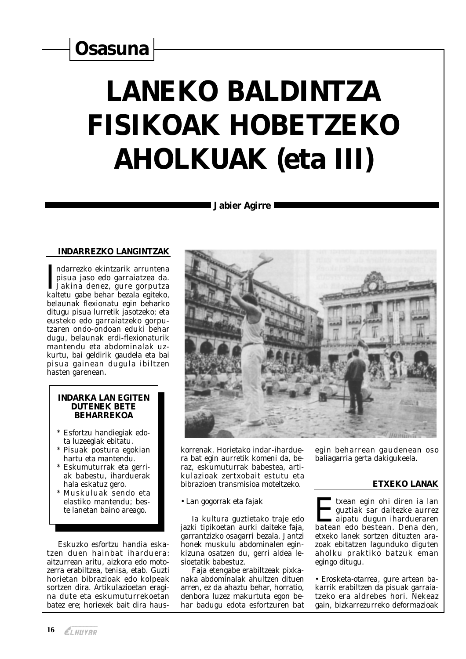# **Osasuna**

# **LANEKO BALDINTZA FISIKOAK HOBETZEKO AHOLKUAK (eta III)**

#### **South Service State 18 International Service International Service International Service International Service**

# **INDARREZKO LANGINTZAK**

ndarrezko ekintzarik arruntena pisua jaso edo garraiatzea da. LJakina denez, gure gorputza<br>kaltetu gabe behar bezala egiteko, belaunak flexionatu egin beharko ditugu pisua lurretik jasotzeko; eta eusteko edo garraiatzeko gorputzaren ondo-ondoan eduki behar dugu, belaunak erdi-flexionaturik mantendu eta abdominalak uzkurtu, bai geldirik gaudela eta bai pisua gainean dugula ibiltzen<br>hasten garenean.

#### **INDARKA LAN EGITEN DUTENEK BETE BEHARREKOA**

- \* Esfortzu handiegiak edota luzeegiak ebitatu.
- \* Pisuak postura egokian hartu eta mantendu.
- \* Eskumuturrak eta gerriak babestu, iharduerak hala eskatuz gero.
- Muskuluak sendo eta elastiko mantendu: beste lanetan baino areago.

Eskuzko esfortzu handia eskatzen duen hainbat iharduera: aitzurrean aritu, aizkora edo motozerra erabiltzea, tenisa, etab. Guzti horietan bibrazioak edo kolpeak sortzen dira. Artikulazioetan eragina dute eta eskumuturrekoetan batez ere: horiexek bait dira haus-



korrenak. Horietako indar-iharduera bat egin aurretik komeni da, beraz, eskumuturrak babestea, artikulazioak zertxobait estutu eta bibrazioen transmisioa moteltzeko.

#### • Lan gogorrak eta fajak

Ia kultura guztietako traje edo jazki tipikoetan aurki daiteke faja, garrantzizko osagarri bezala. Jantzi honek muskulu abdominalen eginkizuna osatzen du. gerri aldea lesioetatik babestuz.

Faja etengabe erabiltzeak pixkanaka abdominalak ahultzen dituen arren, ez da ahaztu behar, horratio, denbora luzez makurtuta egon behar badugu edota esfortzuren bat egin beharrean gaudenean oso baliagarria gerta dakigukeela.

# **ETXEKO LANAK**

Itxean egin ohi diren ia lan guztiak sar daitezke aurrez aipatu dugun ihardueraren batean edo bestean. Dena den. etxeko lanek sortzen dituzten arazoak ebitatzen lagunduko diguten aholku praktiko batzuk eman egingo ditugu.

· Erosketa-otarrea, gure artean bakarrik erabiltzen da pisuak garraiatzeko era aldrebes hori. Nekeaz gain, bizkarrezurreko deformazioak